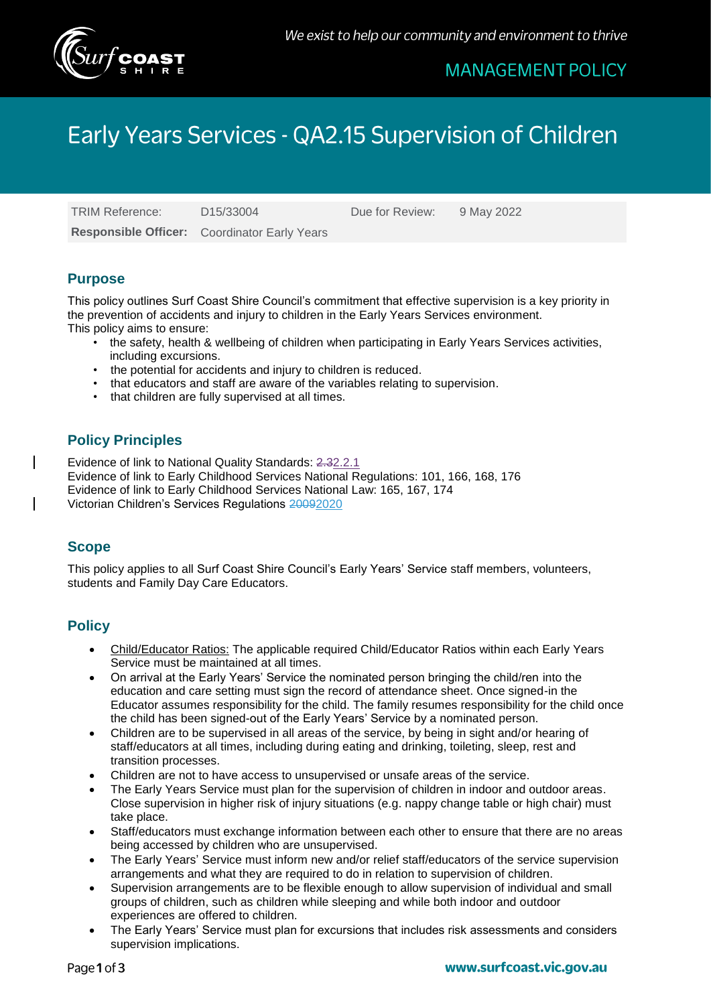

## **MANAGEMENT POLICY**

# Early Years Services - QA2.15 Supervision of Children

TRIM Reference: D15/33004 Due for Review: 9 May 2022 **Responsible Officer:** Coordinator Early Years

## **Purpose**

This policy outlines Surf Coast Shire Council's commitment that effective supervision is a key priority in the prevention of accidents and injury to children in the Early Years Services environment. This policy aims to ensure:

- the safety, health & wellbeing of children when participating in Early Years Services activities, including excursions.
- the potential for accidents and injury to children is reduced.
- that educators and staff are aware of the variables relating to supervision.
- that children are fully supervised at all times.

## **Policy Principles**

Evidence of link to National Quality Standards: 2.32.2.1 Evidence of link to Early Childhood Services National Regulations: 101, 166, 168, 176 Evidence of link to Early Childhood Services National Law: 165, 167, 174 Victorian Children's Services Regulations 20092020

## **Scope**

This policy applies to all Surf Coast Shire Council's Early Years' Service staff members, volunteers, students and Family Day Care Educators.

### **Policy**

- Child/Educator Ratios: The applicable required Child/Educator Ratios within each Early Years Service must be maintained at all times.
- On arrival at the Early Years' Service the nominated person bringing the child/ren into the education and care setting must sign the record of attendance sheet. Once signed-in the Educator assumes responsibility for the child. The family resumes responsibility for the child once the child has been signed-out of the Early Years' Service by a nominated person.
- Children are to be supervised in all areas of the service, by being in sight and/or hearing of staff/educators at all times, including during eating and drinking, toileting, sleep, rest and transition processes.
- Children are not to have access to unsupervised or unsafe areas of the service.
- The Early Years Service must plan for the supervision of children in indoor and outdoor areas. Close supervision in higher risk of injury situations (e.g. nappy change table or high chair) must take place.
- Staff/educators must exchange information between each other to ensure that there are no areas being accessed by children who are unsupervised.
- The Early Years' Service must inform new and/or relief staff/educators of the service supervision arrangements and what they are required to do in relation to supervision of children.
- Supervision arrangements are to be flexible enough to allow supervision of individual and small groups of children, such as children while sleeping and while both indoor and outdoor experiences are offered to children.
- The Early Years' Service must plan for excursions that includes risk assessments and considers supervision implications.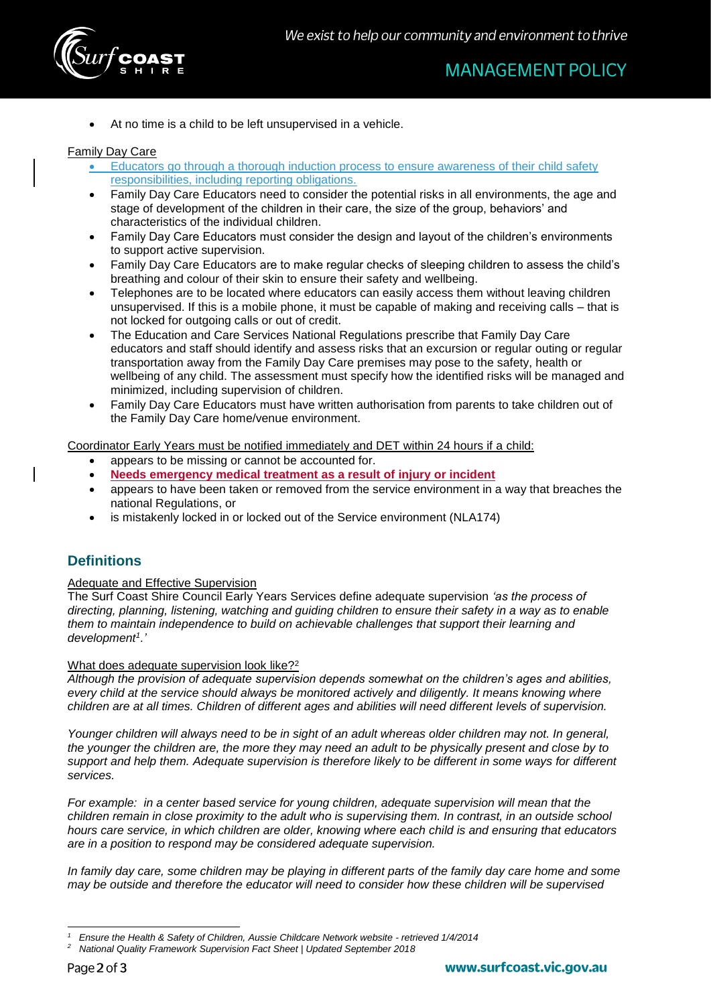

At no time is a child to be left unsupervised in a vehicle.

#### Family Day Care

- Educators go through a thorough induction process to ensure awareness of their child safety responsibilities, including reporting obligations.
- Family Day Care Educators need to consider the potential risks in all environments, the age and stage of development of the children in their care, the size of the group, behaviors' and characteristics of the individual children.
- Family Day Care Educators must consider the design and layout of the children's environments to support active supervision.
- Family Day Care Educators are to make regular checks of sleeping children to assess the child's breathing and colour of their skin to ensure their safety and wellbeing.
- Telephones are to be located where educators can easily access them without leaving children unsupervised. If this is a mobile phone, it must be capable of making and receiving calls – that is not locked for outgoing calls or out of credit.
- The Education and Care Services National Regulations prescribe that Family Day Care educators and staff should identify and assess risks that an excursion or regular outing or regular transportation away from the Family Day Care premises may pose to the safety, health or wellbeing of any child. The assessment must specify how the identified risks will be managed and minimized, including supervision of children.
- Family Day Care Educators must have written authorisation from parents to take children out of the Family Day Care home/venue environment.

Coordinator Early Years must be notified immediately and DET within 24 hours if a child:

- appears to be missing or cannot be accounted for.
- **Needs emergency medical treatment as a result of injury or incident**
- appears to have been taken or removed from the service environment in a way that breaches the national Regulations, or
- is mistakenly locked in or locked out of the Service environment (NLA174)

## **Definitions**

#### Adequate and Effective Supervision

The Surf Coast Shire Council Early Years Services define adequate supervision *'as the process of directing, planning, listening, watching and guiding children to ensure their safety in a way as to enable them to maintain independence to build on achievable challenges that support their learning and development<sup>1</sup> .'*

#### What does adequate supervision look like?<sup>2</sup>

*Although the provision of adequate supervision depends somewhat on the children's ages and abilities, every child at the service should always be monitored actively and diligently. It means knowing where children are at all times. Children of different ages and abilities will need different levels of supervision.*

*Younger children will always need to be in sight of an adult whereas older children may not. In general, the younger the children are, the more they may need an adult to be physically present and close by to support and help them. Adequate supervision is therefore likely to be different in some ways for different services.* 

*For example: in a center based service for young children, adequate supervision will mean that the children remain in close proximity to the adult who is supervising them. In contrast, in an outside school hours care service, in which children are older, knowing where each child is and ensuring that educators are in a position to respond may be considered adequate supervision.* 

*In family day care, some children may be playing in different parts of the family day care home and some may be outside and therefore the educator will need to consider how these children will be supervised* 

<sup>-</sup>*1 Ensure the Health & Safety of Children, Aussie Childcare Network website - retrieved 1/4/2014*

*<sup>2</sup> National Quality Framework Supervision Fact Sheet | Updated September 2018*